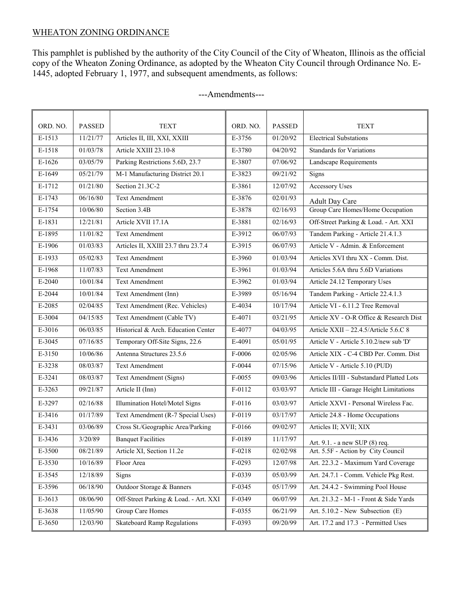# WHEATON ZONING ORDINANCE

This pamphlet is published by the authority of the City Council of the City of Wheaton, Illinois as the official copy of the Wheaton Zoning Ordinance, as adopted by the Wheaton City Council through Ordinance No. E-1445, adopted February 1, 1977, and subsequent amendments, as follows:

| ORD. NO. | <b>PASSED</b> | <b>TEXT</b>                           | ORD. NO. | <b>PASSED</b> | <b>TEXT</b>                                |
|----------|---------------|---------------------------------------|----------|---------------|--------------------------------------------|
| E-1513   | 11/21/77      | Articles II, III, XXI, XXIII          | E-3756   | 01/20/92      | <b>Electrical Substations</b>              |
| E-1518   | 01/03/78      | Article XXIII 23.10-8                 | E-3780   | 04/20/92      | <b>Standards for Variations</b>            |
| $E-1626$ | 03/05/79      | Parking Restrictions 5.6D, 23.7       | E-3807   | 07/06/92      | Landscape Requirements                     |
| E-1649   | 05/21/79      | M-1 Manufacturing District 20.1       | E-3823   | 09/21/92      | Signs                                      |
| E-1712   | 01/21/80      | Section 21.3C-2                       | E-3861   | 12/07/92      | <b>Accessory Uses</b>                      |
| E-1743   | 06/16/80      | <b>Text Amendment</b>                 | E-3876   | 02/01/93      | <b>Adult Day Care</b>                      |
| E-1754   | 10/06/80      | Section 3.4B                          | E-3878   | 02/16/93      | Group Care Homes/Home Occupation           |
| E-1831   | 12/21/81      | Article XVII 17.1A                    | E-3881   | 02/16/93      | Off-Street Parking & Load. - Art. XXI      |
| E-1895   | 11/01/82      | <b>Text Amendment</b>                 | E-3912   | 06/07/93      | Tandem Parking - Article 21.4.1.3          |
| E-1906   | 01/03/83      | Articles II, XXIII 23.7 thru 23.7.4   | E-3915   | 06/07/93      | Article V - Admin. & Enforcement           |
| E-1933   | 05/02/83      | <b>Text Amendment</b>                 | E-3960   | 01/03/94      | Articles XVI thru XX - Comm. Dist.         |
| E-1968   | 11/07/83      | <b>Text Amendment</b>                 | E-3961   | 01/03/94      | Articles 5.6A thru 5.6D Variations         |
| $E-2040$ | 10/01/84      | <b>Text Amendment</b>                 | E-3962   | 01/03/94      | Article 24.12 Temporary Uses               |
| $E-2044$ | 10/01/84      | Text Amendment (Inn)                  | E-3989   | 05/16/94      | Tandem Parking - Article 22.4.1.3          |
| E-2085   | 02/04/85      | Text Amendment (Rec. Vehicles)        | E-4034   | 10/17/94      | Article VI - 6.11.2 Tree Removal           |
| E-3004   | 04/15/85      | Text Amendment (Cable TV)             | E-4071   | 03/21/95      | Article XV - O-R Office & Research Dist    |
| E-3016   | 06/03/85      | Historical & Arch. Education Center   | E-4077   | 04/03/95      | Article XXII - 22.4.5/Article 5.6.C 8      |
| E-3045   | 07/16/85      | Temporary Off-Site Signs, 22.6        | E-4091   | 05/01/95      | Article V - Article 5.10.2/new sub 'D'     |
| E-3150   | 10/06/86      | Antenna Structures 23.5.6             | $F-0006$ | 02/05/96      | Article XIX - C-4 CBD Per. Comm. Dist      |
| E-3238   | 08/03/87      | <b>Text Amendment</b>                 | $F-0044$ | 07/15/96      | Article V - Article 5.10 (PUD)             |
| E-3241   | 08/03/87      | Text Amendment (Signs)                | F-0055   | 09/03/96      | Articles II/III - Substandard Platted Lots |
| E-3263   | 09/21/87      | Article II (Inn)                      | $F-0112$ | 03/03/97      | Article III - Garage Height Limitations    |
| E-3297   | 02/16/88      | Illumination Hotel/Motel Signs        | F-0116   | 03/03/97      | Article XXVI - Personal Wireless Fac.      |
| E-3416   | 01/17/89      | Text Amendment (R-7 Special Uses)     | $F-0119$ | 03/17/97      | Article 24.8 - Home Occupations            |
| E-3431   | 03/06/89      | Cross St./Geographic Area/Parking     | F-0166   | 09/02/97      | Articles II; XVII; XIX                     |
| E-3436   | 3/20/89       | <b>Banquet Facilities</b>             | F-0189   | 11/17/97      | Art. 9.1. - a new SUP (8) req.             |
| E-3500   | 08/21/89      | Article XI, Section 11.2e             | F-0218   | 02/02/98      | Art. 5.5F - Action by City Council         |
| E-3530   | 10/16/89      | Floor Area                            | F-0293   | 12/07/98      | Art. 22.3.2 - Maximum Yard Coverage        |
| E-3545   | 12/18/89      | Signs                                 | F-0339   | 05/03/99      | Art. 24.7.1 - Comm. Vehicle Pkg Rest.      |
| E-3596   | 06/18/90      | Outdoor Storage & Banners             | F-0345   | 05/17/99      | Art. 24.4.2 - Swimming Pool House          |
| E-3613   | 08/06/90      | Off-Street Parking & Load. - Art. XXI | F-0349   | 06/07/99      | Art. 21.3.2 - M-1 - Front & Side Yards     |
| E-3638   | 11/05/90      | Group Care Homes                      | $F-0355$ | 06/21/99      | Art. 5.10.2 - New Subsection (E)           |
| E-3650   | 12/03/90      | <b>Skateboard Ramp Regulations</b>    | F-0393   | 09/20/99      | Art. 17.2 and 17.3 - Permitted Uses        |

## ---Amendments---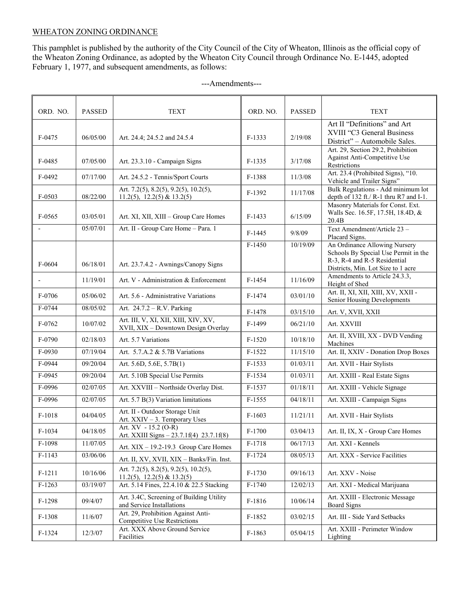## WHEATON ZONING ORDINANCE

This pamphlet is published by the authority of the City Council of the City of Wheaton, Illinois as the official copy of the Wheaton Zoning Ordinance, as adopted by the Wheaton City Council through Ordinance No. E-1445, adopted February 1, 1977, and subsequent amendments, as follows:

| ORD. NO. | <b>PASSED</b> | <b>TEXT</b>                                                                 | ORD. NO. | <b>PASSED</b> | <b>TEXT</b>                                                                                                                                 |
|----------|---------------|-----------------------------------------------------------------------------|----------|---------------|---------------------------------------------------------------------------------------------------------------------------------------------|
| $F-0475$ | 06/05/00      | Art. 24.4; 24.5.2 and 24.5.4                                                | $F-1333$ | 2/19/08       | Art II "Definitions" and Art<br>XVIII "C3 General Business<br>District" - Automobile Sales.                                                 |
| $F-0485$ | 07/05/00      | Art. 23.3.10 - Campaign Signs                                               | $F-1335$ | 3/17/08       | Art. 29, Section 29.2, Prohibition<br>Against Anti-Competitive Use<br>Restrictions                                                          |
| $F-0492$ | 07/17/00      | Art. 24.5.2 - Tennis/Sport Courts                                           | F-1388   | 11/3/08       | Art. 23.4 (Prohibited Signs), "10.<br>Vehicle and Trailer Signs"                                                                            |
| $F-0503$ | 08/22/00      | Art. 7.2(5), 8.2(5), 9.2(5), 10.2(5),<br>$11.2(5)$ , $12.2(5)$ & $13.2(5)$  | F-1392   | 11/17/08      | Bulk Regulations - Add minimum lot<br>depth of 132 ft./ R-1 thru R7 and I-1.                                                                |
| $F-0565$ | 03/05/01      | Art. XI, XII, XIII - Group Care Homes                                       | $F-1433$ | 6/15/09       | Masonry Materials for Const. Ext.<br>Walls Sec. 16.5F, 17.5H, 18.4D, &<br>20.4B                                                             |
|          | 05/07/01      | Art. II - Group Care Home - Para. 1                                         | $F-1445$ | 9/8/09        | Text Amendment/Article 23 -<br>Placard Signs.                                                                                               |
| F-0604   | 06/18/01      | Art. 23.7.4.2 - Awnings/Canopy Signs                                        | $F-1450$ | 10/19/09      | An Ordinance Allowing Nursery<br>Schools By Special Use Permit in the<br>R-3, R-4 and R-5 Residential<br>Districts, Min. Lot Size to 1 acre |
|          | 11/19/01      | Art. V - Administration & Enforcement                                       | $F-1454$ | 11/16/09      | Amendments to Article 24.3.3,<br>Height of Shed                                                                                             |
| F-0706   | 05/06/02      | Art. 5.6 - Administrative Variations                                        | $F-1474$ | 03/01/10      | Art. II, XI, XII, XIII, XV, XXII -<br>Senior Housing Developments                                                                           |
| F-0744   | 08/05/02      | Art. 24.7.2 - R.V. Parking                                                  | F-1478   | 03/15/10      | Art. V, XVII, XXII                                                                                                                          |
| F-0762   | 10/07/02      | Art. III, V, XI, XII, XIII, XIV, XV,<br>XVII, XIX - Downtown Design Overlay | F-1499   | 06/21/10      | Art. XXVIII                                                                                                                                 |
| F-0790   | 02/18/03      | Art. 5.7 Variations                                                         | $F-1520$ | 10/18/10      | Art. II, XVIII, XX - DVD Vending<br>Machines                                                                                                |
| F-0930   | 07/19/04      | Art. 5.7.A.2 & 5.7B Variations                                              | $F-1522$ | 11/15/10      | Art. II, XXIV - Donation Drop Boxes                                                                                                         |
| F-0944   | 09/20/04      | Art. 5.6D, 5.6E, 5.7B(1)                                                    | $F-1533$ | 01/03/11      | Art. XVII - Hair Stylists                                                                                                                   |
| F-0945   | 09/20/04      | Art. 5.10B Special Use Permits                                              | F-1534   | 01/03/11      | Art. XXIII - Real Estate Signs                                                                                                              |
| F-0996   | 02/07/05      | Art. XXVIII - Northside Overlay Dist.                                       | F-1537   | 01/18/11      | Art. XXIII - Vehicle Signage                                                                                                                |
| F-0996   | 02/07/05      | Art. 5.7 B(3) Variation limitations                                         | $F-1555$ | 04/18/11      | Art. XXIII - Campaign Signs                                                                                                                 |
| $F-1018$ | 04/04/05      | Art. II - Outdoor Storage Unit<br>Art. XXIV - 3. Temporary Uses             | $F-1603$ | 11/21/11      | Art. XVII - Hair Stylists                                                                                                                   |
| $F-1034$ | 04/18/05      | Art. $XV - 15.2$ (O-R)<br>Art. XXIII Signs - 23.7.1f(4) 23.7.1f(8)          | $F-1700$ | 03/04/13      | Art. II, IX, X - Group Care Homes                                                                                                           |
| $F-1098$ | 11/07/05      | Art. $XIX - 19.2 - 19.3$ Group Care Homes                                   | F-1718   | 06/17/13      | Art. XXI - Kennels                                                                                                                          |
| $F-1143$ | 03/06/06      | Art. II, XV, XVII, XIX - Banks/Fin. Inst.                                   | $F-1724$ | 08/05/13      | Art. XXX - Service Facilities                                                                                                               |
| F-1211   | 10/16/06      | Art. 7.2(5), 8.2(5), 9.2(5), 10.2(5),<br>$11.2(5)$ , $12.2(5)$ & $13.2(5)$  | $F-1730$ | 09/16/13      | Art. XXV - Noise                                                                                                                            |
| $F-1263$ | 03/19/07      | Art. 5.14 Fines, 22.4.10 & 22.5 Stacking                                    | $F-1740$ | 12/02/13      | Art. XXI - Medical Marijuana                                                                                                                |
| $F-1298$ | 09/4/07       | Art. 3.4C, Screening of Building Utility<br>and Service Installations       | F-1816   | 10/06/14      | Art. XXIII - Electronic Message<br>Board Signs                                                                                              |
| F-1308   | 11/6/07       | Art. 29, Prohibition Against Anti-<br>Competitive Use Restrictions          | $F-1852$ | 03/02/15      | Art. III - Side Yard Setbacks                                                                                                               |
| $F-1324$ | 12/3/07       | Art. XXX Above Ground Service<br>Facilities                                 | $F-1863$ | 05/04/15      | Art. XXIII - Perimeter Window<br>Lighting                                                                                                   |

#### ---Amendments---